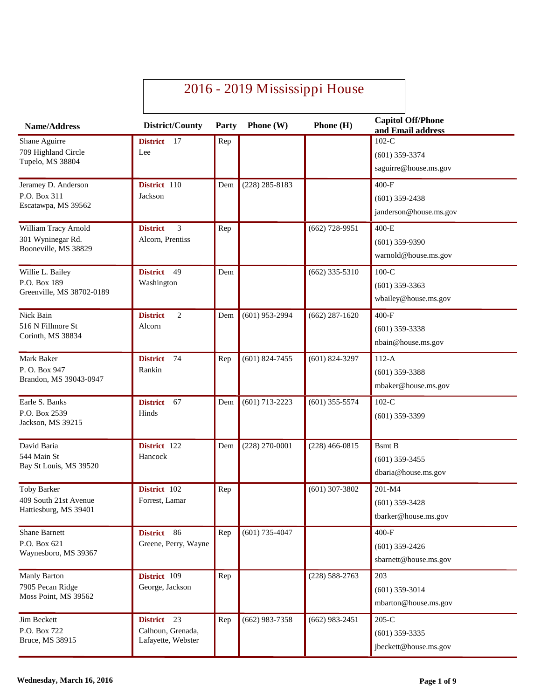|                                                | 2016 - 2019 Mississippi House           |       |                    |                    |                                               |  |
|------------------------------------------------|-----------------------------------------|-------|--------------------|--------------------|-----------------------------------------------|--|
| <b>Name/Address</b>                            | District/County                         | Party | Phone $(W)$        | Phone (H)          | <b>Capitol Off/Phone</b><br>and Email address |  |
| Shane Aguirre                                  | <b>District</b><br>-17                  | Rep   |                    |                    | $102-C$                                       |  |
| 709 Highland Circle<br>Tupelo, MS 38804        | Lee                                     |       |                    |                    | $(601)$ 359-3374                              |  |
|                                                |                                         |       |                    |                    | saguirre@house.ms.gov                         |  |
| Jeramey D. Anderson                            | District 110                            | Dem   | $(228)$ 285-8183   |                    | $400-F$                                       |  |
| P.O. Box 311                                   | Jackson                                 |       |                    |                    | $(601)$ 359-2438                              |  |
| Escatawpa, MS 39562                            |                                         |       |                    |                    | janderson@house.ms.gov                        |  |
| William Tracy Arnold                           | 3<br><b>District</b>                    | Rep   |                    | $(662)$ 728-9951   | $400-E$                                       |  |
| 301 Wyninegar Rd.                              | Alcorn, Prentiss                        |       |                    |                    | $(601)$ 359-9390                              |  |
| Booneville, MS 38829                           |                                         |       |                    |                    | warnold@house.ms.gov                          |  |
| Willie L. Bailey                               | <b>District</b><br>49                   | Dem   |                    | $(662)$ 335-5310   | $100-C$                                       |  |
| P.O. Box 189                                   | Washington                              |       |                    |                    | $(601)$ 359-3363                              |  |
| Greenville, MS 38702-0189                      |                                         |       |                    |                    | wbailey@house.ms.gov                          |  |
| Nick Bain                                      | 2<br><b>District</b>                    | Dem   | $(601)$ 953-2994   | $(662)$ 287-1620   | $400-F$                                       |  |
| 516 N Fillmore St                              | Alcorn                                  |       |                    |                    | $(601)$ 359-3338                              |  |
| Corinth, MS 38834                              |                                         |       |                    |                    | nbain@house.ms.gov                            |  |
| Mark Baker                                     | 74<br><b>District</b>                   | Rep   | $(601)$ 824-7455   | $(601) 824 - 3297$ | $112-A$                                       |  |
| P. O. Box 947<br>Brandon, MS 39043-0947        | Rankin                                  |       |                    |                    | $(601)$ 359-3388                              |  |
|                                                |                                         |       |                    |                    | mbaker@house.ms.gov                           |  |
| Earle S. Banks                                 | <b>District</b><br>67                   | Dem   | $(601)$ 713-2223   | $(601)$ 355-5574   | $102-C$                                       |  |
| P.O. Box 2539<br>Jackson, MS 39215             | Hinds                                   |       |                    |                    | $(601)$ 359-3399                              |  |
|                                                |                                         |       |                    |                    |                                               |  |
| David Baria                                    | District 122                            | Dem   | $(228) 270 - 0001$ | $(228)$ 466-0815   | <b>Bsmt B</b>                                 |  |
| 544 Main St<br>Bay St Louis, MS 39520          | Hancock                                 |       |                    |                    | $(601)$ 359-3455                              |  |
|                                                |                                         |       |                    |                    | dbaria@house.ms.gov                           |  |
| <b>Toby Barker</b>                             | District 102                            | Rep   |                    | $(601)$ 307-3802   | 201-M4                                        |  |
| 409 South 21st Avenue<br>Hattiesburg, MS 39401 | Forrest, Lamar                          |       |                    |                    | $(601)$ 359-3428                              |  |
|                                                |                                         |       |                    |                    | tbarker@house.ms.gov                          |  |
| <b>Shane Barnett</b>                           | District 86                             | Rep   | $(601) 735 - 4047$ |                    | $400-F$                                       |  |
| P.O. Box 621<br>Waynesboro, MS 39367           | Greene, Perry, Wayne                    |       |                    |                    | $(601)$ 359-2426                              |  |
|                                                |                                         |       |                    |                    | sbarnett@house.ms.gov                         |  |
| <b>Manly Barton</b>                            | District 109                            | Rep   |                    | $(228) 588 - 2763$ | 203                                           |  |
| 7905 Pecan Ridge<br>Moss Point, MS 39562       | George, Jackson                         |       |                    |                    | $(601)$ 359-3014                              |  |
|                                                |                                         |       |                    |                    | mbarton@house.ms.gov                          |  |
| Jim Beckett                                    | District 23                             | Rep   | $(662)$ 983-7358   | $(662)$ 983-2451   | $205-C$                                       |  |
| P.O. Box 722<br>Bruce, MS 38915                | Calhoun, Grenada,<br>Lafayette, Webster |       |                    |                    | $(601)$ 359-3335                              |  |
|                                                |                                         |       |                    |                    | jbeckett@house.ms.gov                         |  |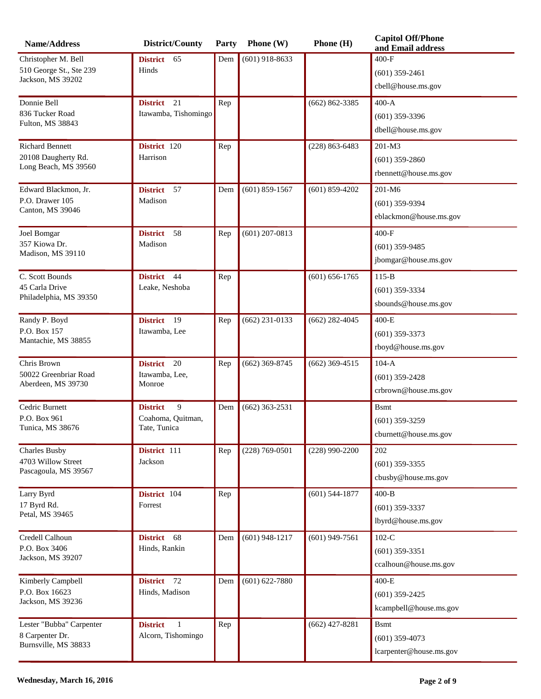| Name/Address                               | District/County                   | Party | Phone $(W)$        | Phone (H)          | <b>Capitol Off/Phone</b><br>and Email address |
|--------------------------------------------|-----------------------------------|-------|--------------------|--------------------|-----------------------------------------------|
| Christopher M. Bell                        | <b>District</b><br>65             | Dem   | $(601)$ 918-8633   |                    | 400-F                                         |
| 510 George St., Ste 239                    | Hinds                             |       |                    |                    | $(601)$ 359-2461                              |
| Jackson, MS 39202                          |                                   |       |                    |                    | cbell@house.ms.gov                            |
| Donnie Bell                                | 21<br><b>District</b>             | Rep   |                    | $(662) 862 - 3385$ | $400-A$                                       |
| 836 Tucker Road                            | Itawamba, Tishomingo              |       |                    |                    | $(601)$ 359-3396                              |
| Fulton, MS 38843                           |                                   |       |                    |                    | dbell@house.ms.gov                            |
| <b>Richard Bennett</b>                     | District 120                      | Rep   |                    | $(228) 863 - 6483$ | 201-M3                                        |
| 20108 Daugherty Rd.                        | Harrison                          |       |                    |                    | $(601)$ 359-2860                              |
| Long Beach, MS 39560                       |                                   |       |                    |                    | rbennett@house.ms.gov                         |
| Edward Blackmon, Jr.                       | District 57                       | Dem   | $(601) 859 - 1567$ | $(601) 859 - 4202$ | 201-M6                                        |
| P.O. Drawer 105                            | Madison                           |       |                    |                    | $(601)$ 359-9394                              |
| Canton, MS 39046                           |                                   |       |                    |                    | eblackmon@house.ms.gov                        |
| Joel Bomgar                                | District 58                       | Rep   | $(601)$ 207-0813   |                    | $400-F$                                       |
| 357 Kiowa Dr.                              | Madison                           |       |                    |                    | $(601)$ 359-9485                              |
| Madison, MS 39110                          |                                   |       |                    |                    | jbomgar@house.ms.gov                          |
| C. Scott Bounds                            | District 44                       | Rep   |                    | $(601) 656 - 1765$ | $115-B$                                       |
| 45 Carla Drive                             | Leake, Neshoba                    |       |                    |                    | $(601)$ 359-3334                              |
| Philadelphia, MS 39350                     |                                   |       |                    |                    | sbounds@house.ms.gov                          |
| Randy P. Boyd                              | District 19                       | Rep   | $(662)$ 231-0133   | $(662)$ 282-4045   | $400-E$                                       |
| P.O. Box 157                               | Itawamba, Lee                     |       |                    |                    | $(601)$ 359-3373                              |
| Mantachie, MS 38855                        |                                   |       |                    |                    | rboyd@house.ms.gov                            |
| Chris Brown                                | <b>District</b><br>20             | Rep   | $(662)$ 369-8745   | $(662)$ 369-4515   | $104-A$                                       |
| 50022 Greenbriar Road                      | Itawamba, Lee,                    |       |                    |                    | $(601)$ 359-2428                              |
| Aberdeen, MS 39730                         | Monroe                            |       |                    |                    | crbrown@house.ms.gov                          |
| Cedric Burnett                             | 9<br><b>District</b>              | Dem   | $(662)$ 363-2531   |                    | <b>B</b> smt                                  |
| P.O. Box 961<br>Tunica, MS 38676           | Coahoma, Quitman,<br>Tate, Tunica |       |                    |                    | $(601)$ 359-3259                              |
|                                            |                                   |       |                    |                    | cburnett@house.ms.gov                         |
| <b>Charles Busby</b>                       | District 111                      | Rep   | $(228) 769 - 0501$ | $(228)$ 990-2200   | 202                                           |
| 4703 Willow Street<br>Pascagoula, MS 39567 | Jackson                           |       |                    |                    | $(601)$ 359-3355                              |
|                                            |                                   |       |                    |                    | cbusby@house.ms.gov                           |
| Larry Byrd                                 | District 104                      | Rep   |                    | $(601)$ 544-1877   | $400 - B$                                     |
| 17 Byrd Rd.<br>Petal, MS 39465             | Forrest                           |       |                    |                    | $(601)$ 359-3337                              |
|                                            |                                   |       |                    |                    | lbyrd@house.ms.gov                            |
| Credell Calhoun                            | District 68                       | Dem   | $(601)$ 948-1217   | $(601)$ 949-7561   | $102-C$                                       |
| P.O. Box 3406<br>Jackson, MS 39207         | Hinds, Rankin                     |       |                    |                    | $(601)$ 359-3351                              |
|                                            |                                   |       |                    |                    | ccalhoun@house.ms.gov                         |
| Kimberly Campbell                          | District 72                       | Dem   | $(601) 622 - 7880$ |                    | 400-E                                         |
| P.O. Box 16623<br>Jackson, MS 39236        | Hinds, Madison                    |       |                    |                    | $(601)$ 359-2425                              |
|                                            |                                   |       |                    |                    | kcampbell@house.ms.gov                        |
| Lester "Bubba" Carpenter                   | <b>District</b><br>$\mathbf{1}$   | Rep   |                    | $(662)$ 427-8281   | <b>B</b> smt                                  |
| 8 Carpenter Dr.<br>Burnsville, MS 38833    | Alcorn, Tishomingo                |       |                    |                    | $(601)$ 359-4073                              |
|                                            |                                   |       |                    |                    | lcarpenter@house.ms.gov                       |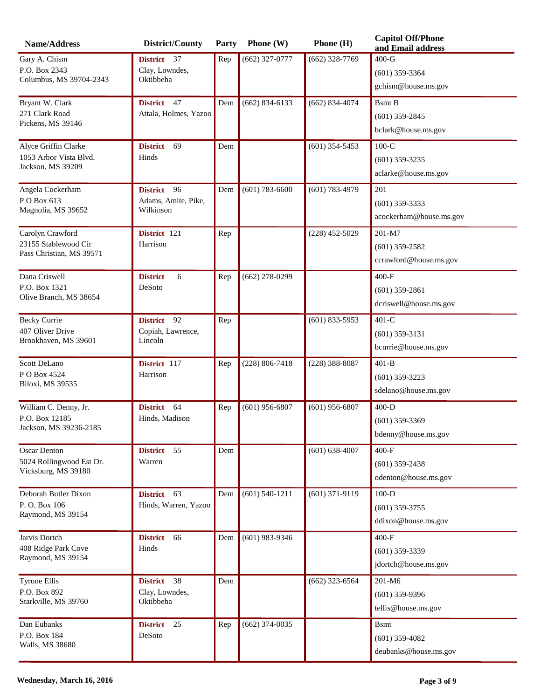| Name/Address                                     | District/County                  | Party | Phone $(W)$        | Phone (H)          | <b>Capitol Off/Phone</b><br>and Email address |
|--------------------------------------------------|----------------------------------|-------|--------------------|--------------------|-----------------------------------------------|
| Gary A. Chism                                    | District 37                      | Rep   | $(662)$ 327-0777   | $(662)$ 328-7769   | $400-G$                                       |
| P.O. Box 2343                                    | Clay, Lowndes,                   |       |                    |                    | $(601)$ 359-3364                              |
| Columbus, MS 39704-2343                          | Oktibbeha                        |       |                    |                    | gchism@house.ms.gov                           |
| Bryant W. Clark                                  | 47<br><b>District</b>            | Dem   | $(662)$ 834-6133   | $(662)$ 834-4074   | <b>B</b> smt B                                |
| 271 Clark Road<br>Pickens, MS 39146              | Attala, Holmes, Yazoo            |       |                    |                    | $(601)$ 359-2845                              |
|                                                  |                                  |       |                    |                    | bclark@house.ms.gov                           |
| Alyce Griffin Clarke                             | <b>District</b><br>69            | Dem   |                    | $(601)$ 354-5453   | $100-C$                                       |
| 1053 Arbor Vista Blvd.<br>Jackson, MS 39209      | Hinds                            |       |                    |                    | $(601)$ 359-3235                              |
|                                                  |                                  |       |                    |                    | aclarke@house.ms.gov                          |
| Angela Cockerham                                 | District 96                      | Dem   | $(601) 783 - 6600$ | $(601)$ 783-4979   | 201                                           |
| P O Box 613                                      | Adams, Amite, Pike,<br>Wilkinson |       |                    |                    | $(601)$ 359-3333                              |
| Magnolia, MS 39652                               |                                  |       |                    |                    | acockerham@house.ms.gov                       |
| Carolyn Crawford                                 | District 121                     | Rep   |                    | $(228)$ 452-5029   | 201-M7                                        |
| 23155 Stablewood Cir<br>Pass Christian, MS 39571 | Harrison                         |       |                    |                    | $(601)$ 359-2582                              |
|                                                  |                                  |       |                    |                    | ccrawford@house.ms.gov                        |
| Dana Criswell                                    | <b>District</b><br>6             | Rep   | $(662)$ 278-0299   |                    | $400-F$                                       |
| P.O. Box 1321<br>Olive Branch, MS 38654          | DeSoto                           |       |                    |                    | $(601)$ 359-2861                              |
|                                                  |                                  |       |                    |                    | dcriswell@house.ms.gov                        |
| <b>Becky Currie</b>                              | District 92                      | Rep   |                    | $(601)$ 833-5953   | $401-C$                                       |
| 407 Oliver Drive<br>Brookhaven, MS 39601         | Copiah, Lawrence,<br>Lincoln     |       |                    |                    | $(601)$ 359-3131                              |
|                                                  |                                  |       |                    |                    | bcurrie@house.ms.gov                          |
| Scott DeLano                                     | District 117                     | Rep   | $(228) 806 - 7418$ | $(228)$ 388-8087   | $401-B$                                       |
| P O Box 4524<br>Biloxi, MS 39535                 | Harrison                         |       |                    |                    | $(601)$ 359-3223                              |
|                                                  |                                  |       |                    |                    | sdelano@house.ms.gov                          |
| William C. Denny, Jr.                            | District 64                      | Rep   | $(601)$ 956-6807   | $(601)$ 956-6807   | $400-D$                                       |
| P.O. Box 12185<br>Jackson, MS 39236-2185         | Hinds, Madison                   |       |                    |                    | $(601)$ 359-3369                              |
|                                                  |                                  |       |                    |                    | bdenny@house.ms.gov                           |
| <b>Oscar Denton</b>                              | District 55                      | Dem   |                    | $(601) 638 - 4007$ | $400-F$                                       |
| 5024 Rollingwood Est Dr.                         | Warren                           |       |                    |                    | $(601)$ 359-2438                              |
| Vicksburg, MS 39180                              |                                  |       |                    |                    | odenton@house.ms.gov                          |
| Deborah Butler Dixon                             | District 63                      | Dem   | $(601) 540 - 1211$ | $(601)$ 371-9119   | $100-D$                                       |
| P.O. Box 106<br>Raymond, MS 39154                | Hinds, Warren, Yazoo             |       |                    |                    | $(601)$ 359-3755                              |
|                                                  |                                  |       |                    |                    | ddixon@house.ms.gov                           |
| Jarvis Dortch                                    | <b>District</b><br>66            | Dem   | $(601)$ 983-9346   |                    | 400-F                                         |
| 408 Ridge Park Cove<br>Raymond, MS 39154         | Hinds                            |       |                    |                    | $(601)$ 359-3339                              |
|                                                  |                                  |       |                    |                    | jdortch@house.ms.gov                          |
| <b>Tyrone Ellis</b>                              | District 38                      | Dem   |                    | $(662)$ 323-6564   | 201-M6                                        |
| P.O. Box 892<br>Starkville, MS 39760             | Clay, Lowndes,<br>Oktibbeha      |       |                    |                    | $(601)$ 359-9396                              |
|                                                  |                                  |       |                    |                    | tellis@house.ms.gov                           |
| Dan Eubanks                                      | <b>District</b><br>25            | Rep   | $(662)$ 374-0035   |                    | <b>B</b> smt                                  |
| P.O. Box 184<br>Walls, MS 38680                  | DeSoto                           |       |                    |                    | $(601)$ 359-4082                              |
|                                                  |                                  |       |                    |                    | deubanks@house.ms.gov                         |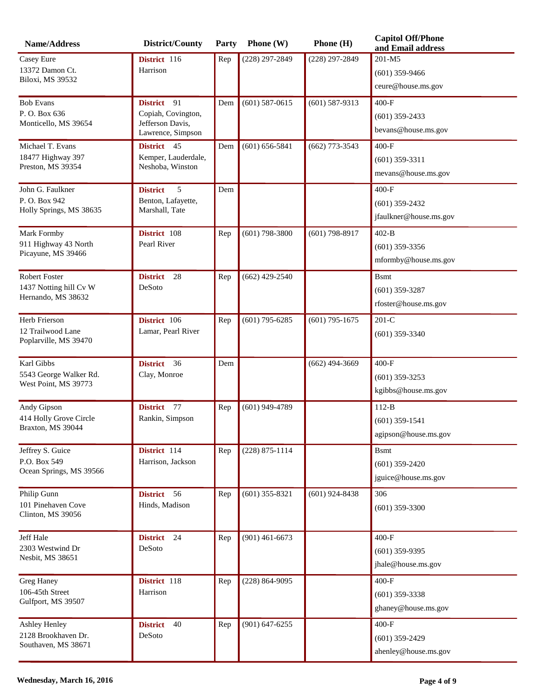| Name/Address                            | District/County                       | Party | <b>Phone</b> $(W)$ | Phone (H)        | <b>Capitol Off/Phone</b><br>and Email address |
|-----------------------------------------|---------------------------------------|-------|--------------------|------------------|-----------------------------------------------|
| Casey Eure                              | District 116                          | Rep   | $(228)$ 297-2849   | $(228)$ 297-2849 | 201-M5                                        |
| 13372 Damon Ct.                         | Harrison                              |       |                    |                  | $(601)$ 359-9466                              |
| Biloxi, MS 39532                        |                                       |       |                    |                  | ceure@house.ms.gov                            |
| <b>Bob Evans</b>                        | District 91                           | Dem   | $(601)$ 587-0615   | $(601)$ 587-9313 | $400-F$                                       |
| P. O. Box 636                           | Copiah, Covington,                    |       |                    |                  | $(601)$ 359-2433                              |
| Monticello, MS 39654                    | Jefferson Davis,<br>Lawrence, Simpson |       |                    |                  | bevans@house.ms.gov                           |
| Michael T. Evans                        | District 45                           | Dem   | $(601) 656 - 5841$ | $(662)$ 773-3543 | 400-F                                         |
| 18477 Highway 397                       | Kemper, Lauderdale,                   |       |                    |                  | $(601)$ 359-3311                              |
| Preston, MS 39354                       | Neshoba, Winston                      |       |                    |                  | mevans@house.ms.gov                           |
| John G. Faulkner                        | <b>District</b><br>5                  | Dem   |                    |                  | $400-F$                                       |
| P.O. Box 942                            | Benton, Lafayette,                    |       |                    |                  | $(601)$ 359-2432                              |
| Holly Springs, MS 38635                 | Marshall, Tate                        |       |                    |                  | jfaulkner@house.ms.gov                        |
| Mark Formby                             | District 108                          | Rep   | $(601) 798 - 3800$ | $(601)$ 798-8917 | $402-B$                                       |
| 911 Highway 43 North                    | Pearl River                           |       |                    |                  | $(601)$ 359-3356                              |
| Picayune, MS 39466                      |                                       |       |                    |                  | mformby@house.ms.gov                          |
| <b>Robert Foster</b>                    | <b>District</b><br>28                 | Rep   | $(662)$ 429-2540   |                  | <b>B</b> smt                                  |
| 1437 Notting hill Cv W                  | DeSoto                                |       |                    |                  | $(601)$ 359-3287                              |
| Hernando, MS 38632                      |                                       |       |                    |                  | rfoster@house.ms.gov                          |
| Herb Frierson                           | District 106                          | Rep   | $(601)$ 795-6285   | $(601)$ 795-1675 | $201-C$                                       |
| 12 Trailwood Lane                       | Lamar, Pearl River                    |       |                    |                  | $(601)$ 359-3340                              |
| Poplarville, MS 39470                   |                                       |       |                    |                  |                                               |
| Karl Gibbs                              | <b>District</b><br>36                 | Dem   |                    | $(662)$ 494-3669 | $400-F$                                       |
| 5543 George Walker Rd.                  | Clay, Monroe                          |       |                    |                  | $(601)$ 359-3253                              |
| West Point, MS 39773                    |                                       |       |                    |                  | kgibbs@house.ms.gov                           |
| Andy Gipson                             | District 77                           | Rep   | $(601)$ 949-4789   |                  | $112-B$                                       |
| 414 Holly Grove Circle                  | Rankin, Simpson                       |       |                    |                  | $(601)$ 359-1541                              |
| Braxton, MS 39044                       |                                       |       |                    |                  | agipson@house.ms.gov                          |
| Jeffrey S. Guice                        | District 114                          | Rep   | $(228)$ 875-1114   |                  | <b>Bsmt</b>                                   |
| P.O. Box 549<br>Ocean Springs, MS 39566 | Harrison, Jackson                     |       |                    |                  | $(601)$ 359-2420                              |
|                                         |                                       |       |                    |                  | jguice@house.ms.gov                           |
| Philip Gunn                             | District 56                           | Rep   | $(601)$ 355-8321   | $(601)$ 924-8438 | 306                                           |
| 101 Pinehaven Cove                      | Hinds, Madison                        |       |                    |                  | $(601)$ 359-3300                              |
| Clinton, MS 39056                       |                                       |       |                    |                  |                                               |
| Jeff Hale                               | <b>District</b><br>24                 | Rep   | $(901)$ 461-6673   |                  | $400-F$                                       |
| 2303 Westwind Dr                        | DeSoto                                |       |                    |                  | $(601)$ 359-9395                              |
| Nesbit, MS 38651                        |                                       |       |                    |                  | jhale@house.ms.gov                            |
| Greg Haney                              | District 118                          | Rep   | $(228) 864 - 9095$ |                  | $400-F$                                       |
| 106-45th Street                         | Harrison                              |       |                    |                  | $(601)$ 359-3338                              |
| Gulfport, MS 39507                      |                                       |       |                    |                  | ghaney@house.ms.gov                           |
| <b>Ashley Henley</b>                    | <b>District</b><br>40                 | Rep   | $(901) 647 - 6255$ |                  | $400-F$                                       |
| 2128 Brookhaven Dr.                     | DeSoto                                |       |                    |                  | $(601)$ 359-2429                              |
| Southaven, MS 38671                     |                                       |       |                    |                  | ahenley@house.ms.gov                          |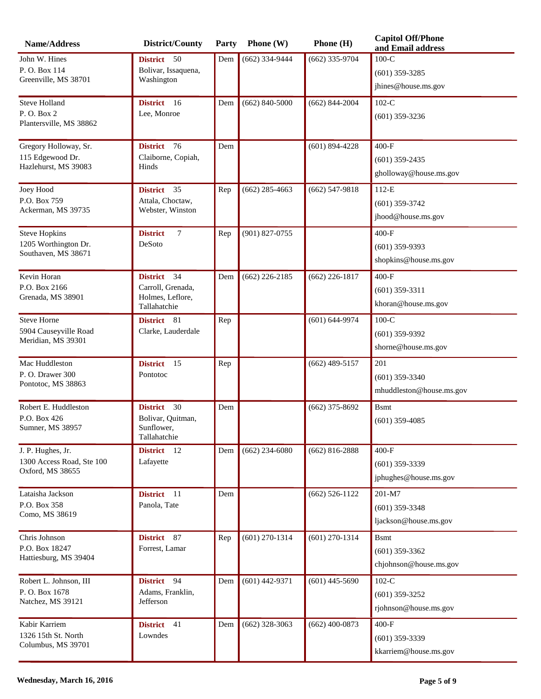| Name/Address                                  | District/County                       | Party | Phone $(W)$      | Phone (H)          | <b>Capitol Off/Phone</b><br>and Email address |
|-----------------------------------------------|---------------------------------------|-------|------------------|--------------------|-----------------------------------------------|
| John W. Hines                                 | District 50                           | Dem   | $(662)$ 334-9444 | $(662)$ 335-9704   | $100-C$                                       |
| P. O. Box 114                                 | Bolivar, Issaquena,                   |       |                  |                    | $(601)$ 359-3285                              |
| Greenville, MS 38701                          | Washington                            |       |                  |                    | jhines@house.ms.gov                           |
| <b>Steve Holland</b>                          | <b>District</b><br>-16                | Dem   | $(662)$ 840-5000 | $(662)$ 844-2004   | $102-C$                                       |
| P. O. Box 2                                   | Lee, Monroe                           |       |                  |                    | $(601)$ 359-3236                              |
| Plantersville, MS 38862                       |                                       |       |                  |                    |                                               |
| Gregory Holloway, Sr.                         | District 76                           | Dem   |                  | $(601)$ 894-4228   | 400-F                                         |
| 115 Edgewood Dr.<br>Hazlehurst, MS 39083      | Claiborne, Copiah,<br>Hinds           |       |                  |                    | $(601)$ 359-2435                              |
|                                               |                                       |       |                  |                    | gholloway@house.ms.gov                        |
| Joey Hood                                     | District 35                           | Rep   | $(662)$ 285-4663 | $(662)$ 547-9818   | $112-E$                                       |
| P.O. Box 759<br>Ackerman, MS 39735            | Attala, Choctaw,<br>Webster, Winston  |       |                  |                    | $(601)$ 359-3742                              |
|                                               |                                       |       |                  |                    | jhood@house.ms.gov                            |
| <b>Steve Hopkins</b>                          | <b>District</b><br>$\tau$             | Rep   | $(901)$ 827-0755 |                    | $400-F$                                       |
| 1205 Worthington Dr.<br>Southaven, MS 38671   | DeSoto                                |       |                  |                    | $(601)$ 359-9393                              |
|                                               |                                       |       |                  |                    | shopkins@house.ms.gov                         |
| Kevin Horan                                   | District 34                           | Dem   | $(662)$ 226-2185 | $(662)$ 226-1817   | $400-F$                                       |
| P.O. Box 2166<br>Grenada, MS 38901            | Carroll, Grenada,<br>Holmes, Leflore, |       |                  |                    | $(601)$ 359-3311                              |
|                                               | Tallahatchie                          |       |                  |                    | khoran@house.ms.gov                           |
| <b>Steve Horne</b>                            | District 81                           | Rep   |                  | $(601) 644-9974$   | $100-C$                                       |
| 5904 Causeyville Road<br>Meridian, MS 39301   | Clarke, Lauderdale                    |       |                  |                    | $(601)$ 359-9392                              |
|                                               |                                       |       |                  |                    | shorne@house.ms.gov                           |
| Mac Huddleston                                | <b>District</b><br>15                 | Rep   |                  | $(662)$ 489-5157   | 201                                           |
| P.O. Drawer 300<br>Pontotoc, MS 38863         | Pontotoc                              |       |                  |                    | $(601)$ 359-3340                              |
|                                               |                                       |       |                  |                    | mhuddleston@house.ms.gov                      |
| Robert E. Huddleston                          | 30<br><b>District</b>                 | Dem   |                  | $(662)$ 375-8692   | <b>B</b> smt                                  |
| P.O. Box 426<br>Sumner, MS 38957              | Bolivar, Quitman,<br>Sunflower,       |       |                  |                    | $(601)$ 359-4085                              |
|                                               | Tallahatchie                          |       |                  |                    |                                               |
| J. P. Hughes, Jr.                             | District 12                           | Dem   | $(662)$ 234-6080 | $(662)$ 816-2888   | $400-F$                                       |
| 1300 Access Road, Ste 100<br>Oxford, MS 38655 | Lafayette                             |       |                  |                    | $(601)$ 359-3339                              |
|                                               |                                       |       |                  |                    | jphughes@house.ms.gov                         |
| Lataisha Jackson                              | District 11                           | Dem   |                  | $(662) 526 - 1122$ | 201-M7                                        |
| P.O. Box 358<br>Como, MS 38619                | Panola, Tate                          |       |                  |                    | $(601)$ 359-3348                              |
|                                               |                                       |       |                  |                    | ljackson@house.ms.gov                         |
| Chris Johnson                                 | District 87                           | Rep   | $(601)$ 270-1314 | $(601)$ 270-1314   | <b>B</b> smt                                  |
| P.O. Box 18247<br>Hattiesburg, MS 39404       | Forrest, Lamar                        |       |                  |                    | $(601)$ 359-3362                              |
|                                               |                                       |       |                  |                    | chjohnson@house.ms.gov                        |
| Robert L. Johnson, III                        | District 94                           | Dem   | $(601)$ 442-9371 | $(601)$ 445-5690   | $102-C$                                       |
| P.O. Box 1678<br>Natchez, MS 39121            | Adams, Franklin,<br>Jefferson         |       |                  |                    | $(601)$ 359-3252                              |
|                                               |                                       |       |                  |                    | rjohnson@house.ms.gov                         |
| Kabir Karriem                                 | 41<br><b>District</b>                 | Dem   | $(662)$ 328-3063 | $(662)$ 400-0873   | $400-F$                                       |
| 1326 15th St. North<br>Columbus, MS 39701     | Lowndes                               |       |                  |                    | $(601)$ 359-3339                              |
|                                               |                                       |       |                  |                    | kkarriem@house.ms.gov                         |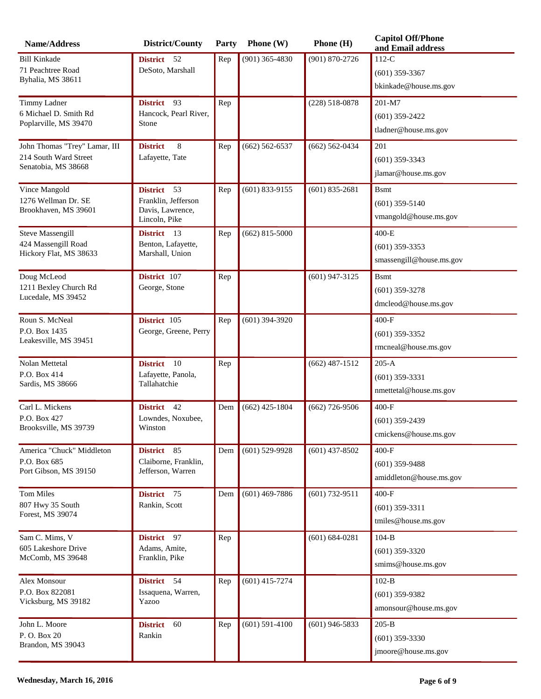| Name/Address                                | District/County                           | Party | <b>Phone</b> $(W)$ | Phone (H)          | <b>Capitol Off/Phone</b><br>and Email address |
|---------------------------------------------|-------------------------------------------|-------|--------------------|--------------------|-----------------------------------------------|
| <b>Bill Kinkade</b>                         | District 52                               | Rep   | $(901)$ 365-4830   | $(901) 870 - 2726$ | $112-C$                                       |
| 71 Peachtree Road                           | DeSoto, Marshall                          |       |                    |                    | $(601)$ 359-3367                              |
| Byhalia, MS 38611                           |                                           |       |                    |                    | bkinkade@house.ms.gov                         |
| <b>Timmy Ladner</b>                         | 93<br><b>District</b>                     | Rep   |                    | $(228) 518 - 0878$ | 201-M7                                        |
| 6 Michael D. Smith Rd                       | Hancock, Pearl River,                     |       |                    |                    | $(601)$ 359-2422                              |
| Poplarville, MS 39470                       | Stone                                     |       |                    |                    | tladner@house.ms.gov                          |
| John Thomas "Trey" Lamar, III               | 8<br><b>District</b>                      | Rep   | $(662) 562 - 6537$ | $(662) 562 - 0434$ | 201                                           |
| 214 South Ward Street                       | Lafayette, Tate                           |       |                    |                    | $(601)$ 359-3343                              |
| Senatobia, MS 38668                         |                                           |       |                    |                    | jlamar@house.ms.gov                           |
| Vince Mangold                               | District 53                               | Rep   | $(601)$ 833-9155   | $(601) 835 - 2681$ | <b>B</b> smt                                  |
| 1276 Wellman Dr. SE                         | Franklin, Jefferson                       |       |                    |                    | $(601)$ 359-5140                              |
| Brookhaven, MS 39601                        | Davis, Lawrence,<br>Lincoln, Pike         |       |                    |                    | vmangold@house.ms.gov                         |
| <b>Steve Massengill</b>                     | District 13                               | Rep   | $(662)$ 815-5000   |                    | 400-E                                         |
| 424 Massengill Road                         | Benton, Lafayette,                        |       |                    |                    | $(601)$ 359-3353                              |
| Hickory Flat, MS 38633                      | Marshall, Union                           |       |                    |                    | smassengill@house.ms.gov                      |
| Doug McLeod                                 | District 107                              | Rep   |                    | $(601)$ 947-3125   | <b>B</b> smt                                  |
| 1211 Bexley Church Rd<br>Lucedale, MS 39452 | George, Stone                             |       |                    |                    | $(601)$ 359-3278                              |
|                                             |                                           |       |                    |                    | dmcleod@house.ms.gov                          |
| Roun S. McNeal                              | District 105                              | Rep   | $(601)$ 394-3920   |                    | 400-F                                         |
| P.O. Box 1435                               | George, Greene, Perry                     |       |                    |                    | $(601)$ 359-3352                              |
| Leakesville, MS 39451                       |                                           |       |                    |                    | rmcneal@house.ms.gov                          |
| Nolan Mettetal                              | District 10                               | Rep   |                    | $(662)$ 487-1512   | $205-A$                                       |
| P.O. Box 414                                | Lafayette, Panola,<br>Tallahatchie        |       |                    |                    | $(601)$ 359-3331                              |
| Sardis, MS 38666                            |                                           |       |                    |                    | nmettetal@house.ms.gov                        |
| Carl L. Mickens                             | 42<br><b>District</b>                     | Dem   | $(662)$ 425-1804   | $(662)$ 726-9506   | $400-F$                                       |
| P.O. Box 427<br>Brooksville, MS 39739       | Lowndes, Noxubee,<br>Winston              |       |                    |                    | $(601)$ 359-2439                              |
|                                             |                                           |       |                    |                    | cmickens@house.ms.gov                         |
| America "Chuck" Middleton                   | District 85                               | Dem   | $(601)$ 529-9928   | $(601)$ 437-8502   | $400-F$                                       |
| P.O. Box 685<br>Port Gibson, MS 39150       | Claiborne, Franklin,<br>Jefferson, Warren |       |                    |                    | $(601)$ 359-9488                              |
|                                             |                                           |       |                    |                    | amiddleton@house.ms.gov                       |
| <b>Tom Miles</b>                            | District 75                               | Dem   | $(601)$ 469-7886   | $(601) 732 - 9511$ | 400-F                                         |
| 807 Hwy 35 South<br>Forest, MS 39074        | Rankin, Scott                             |       |                    |                    | $(601)$ 359-3311                              |
|                                             |                                           |       |                    |                    | tmiles@house.ms.gov                           |
| Sam C. Mims, V                              | District 97                               | Rep   |                    | $(601) 684 - 0281$ | $104-B$                                       |
| 605 Lakeshore Drive                         | Adams, Amite,                             |       |                    |                    | $(601)$ 359-3320                              |
| McComb, MS 39648                            | Franklin, Pike                            |       |                    |                    | smims@house.ms.gov                            |
| Alex Monsour                                | District 54                               | Rep   | $(601)$ 415-7274   |                    | $102-B$                                       |
| P.O. Box 822081                             | Issaquena, Warren,<br>Yazoo               |       |                    |                    | $(601)$ 359-9382                              |
| Vicksburg, MS 39182                         |                                           |       |                    |                    | amonsour@house.ms.gov                         |
| John L. Moore                               | 60<br><b>District</b>                     | Rep   | $(601) 591-4100$   | $(601)$ 946-5833   | $205-B$                                       |
| P.O. Box 20<br>Brandon, MS 39043            | Rankin                                    |       |                    |                    | $(601)$ 359-3330                              |
|                                             |                                           |       |                    |                    | jmoore@house.ms.gov                           |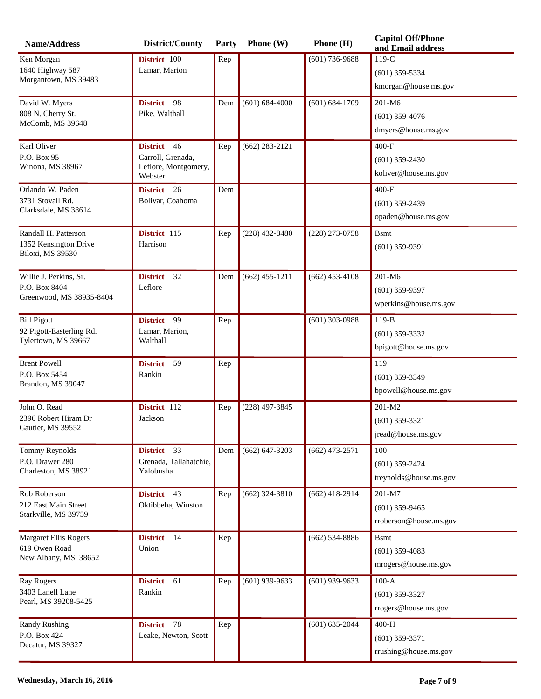| Name/Address                                    | District/County                     | Party | <b>Phone</b> $(W)$ | Phone (H)        | <b>Capitol Off/Phone</b><br>and Email address |
|-------------------------------------------------|-------------------------------------|-------|--------------------|------------------|-----------------------------------------------|
| Ken Morgan                                      | District 100                        | Rep   |                    | $(601)$ 736-9688 | $119-C$                                       |
| 1640 Highway 587                                | Lamar, Marion                       |       |                    |                  | $(601)$ 359-5334                              |
| Morgantown, MS 39483                            |                                     |       |                    |                  | kmorgan@house.ms.gov                          |
| David W. Myers                                  | <b>District</b><br>98               | Dem   | $(601) 684-4000$   | $(601) 684-1709$ | 201-M6                                        |
| 808 N. Cherry St.                               | Pike, Walthall                      |       |                    |                  | $(601)$ 359-4076                              |
| McComb, MS 39648                                |                                     |       |                    |                  | dmyers@house.ms.gov                           |
| Karl Oliver                                     | <b>District</b><br>46               | Rep   | $(662)$ 283-2121   |                  | 400-F                                         |
| P.O. Box 95                                     | Carroll, Grenada,                   |       |                    |                  | $(601)$ 359-2430                              |
| Winona, MS 38967                                | Leflore, Montgomery,<br>Webster     |       |                    |                  | koliver@house.ms.gov                          |
| Orlando W. Paden                                | District 26                         | Dem   |                    |                  | $400-F$                                       |
| 3731 Stovall Rd.                                | Bolivar, Coahoma                    |       |                    |                  | $(601)$ 359-2439                              |
| Clarksdale, MS 38614                            |                                     |       |                    |                  | opaden@house.ms.gov                           |
| Randall H. Patterson                            | District 115                        | Rep   | $(228)$ 432-8480   | $(228)$ 273-0758 | <b>B</b> smt                                  |
| 1352 Kensington Drive<br>Biloxi, MS 39530       | Harrison                            |       |                    |                  | $(601)$ 359-9391                              |
|                                                 |                                     |       |                    |                  |                                               |
| Willie J. Perkins, Sr.                          | 32<br><b>District</b>               | Dem   | $(662)$ 455-1211   | $(662)$ 453-4108 | 201-M6                                        |
| P.O. Box 8404<br>Greenwood, MS 38935-8404       | Leflore                             |       |                    |                  | $(601)$ 359-9397                              |
|                                                 |                                     |       |                    |                  | wperkins@house.ms.gov                         |
| <b>Bill Pigott</b>                              | <b>District</b><br>99               | Rep   |                    | $(601)$ 303-0988 | $119-B$                                       |
| 92 Pigott-Easterling Rd.<br>Tylertown, MS 39667 | Lamar, Marion,<br>Walthall          |       |                    |                  | $(601)$ 359-3332                              |
|                                                 |                                     |       |                    |                  | bpigott@house.ms.gov                          |
| <b>Brent Powell</b>                             | <b>District</b><br>59               | Rep   |                    |                  | 119                                           |
| P.O. Box 5454<br>Brandon, MS 39047              | Rankin                              |       |                    |                  | $(601)$ 359-3349                              |
|                                                 |                                     |       |                    |                  | bpowell@house.ms.gov                          |
| John O. Read                                    | District 112                        | Rep   | $(228)$ 497-3845   |                  | 201-M2                                        |
| 2396 Robert Hiram Dr<br>Gautier, MS 39552       | Jackson                             |       |                    |                  | $(601)$ 359-3321                              |
|                                                 |                                     |       |                    |                  | jread@house.ms.gov                            |
| Tommy Reynolds                                  | District 33                         | Dem   | $(662) 647 - 3203$ | $(662)$ 473-2571 | 100                                           |
| P.O. Drawer 280                                 | Grenada, Tallahatchie,<br>Yalobusha |       |                    |                  | $(601)$ 359-2424                              |
| Charleston, MS 38921                            |                                     |       |                    |                  | treynolds@house.ms.gov                        |
| Rob Roberson                                    | District 43                         | Rep   | $(662)$ 324-3810   | $(662)$ 418-2914 | 201-M7                                        |
| 212 East Main Street                            | Oktibbeha, Winston                  |       |                    |                  | $(601)$ 359-9465                              |
| Starkville, MS 39759                            |                                     |       |                    |                  | rroberson@house.ms.gov                        |
| <b>Margaret Ellis Rogers</b>                    | District 14                         | Rep   |                    | $(662)$ 534-8886 | <b>B</b> smt                                  |
| 619 Owen Road                                   | Union                               |       |                    |                  | $(601)$ 359-4083                              |
| New Albany, MS 38652                            |                                     |       |                    |                  | mrogers@house.ms.gov                          |
| <b>Ray Rogers</b>                               | <b>District</b><br>61               | Rep   | $(601)$ 939-9633   | $(601)$ 939-9633 | $100-A$                                       |
| 3403 Lanell Lane                                | Rankin                              |       |                    |                  | $(601)$ 359-3327                              |
| Pearl, MS 39208-5425                            |                                     |       |                    |                  | rrogers@house.ms.gov                          |
| <b>Randy Rushing</b>                            | District 78                         | Rep   |                    | $(601)$ 635-2044 | $400-H$                                       |
| P.O. Box 424<br>Decatur, MS 39327               | Leake, Newton, Scott                |       |                    |                  | $(601)$ 359-3371                              |
|                                                 |                                     |       |                    |                  | rrushing@house.ms.gov                         |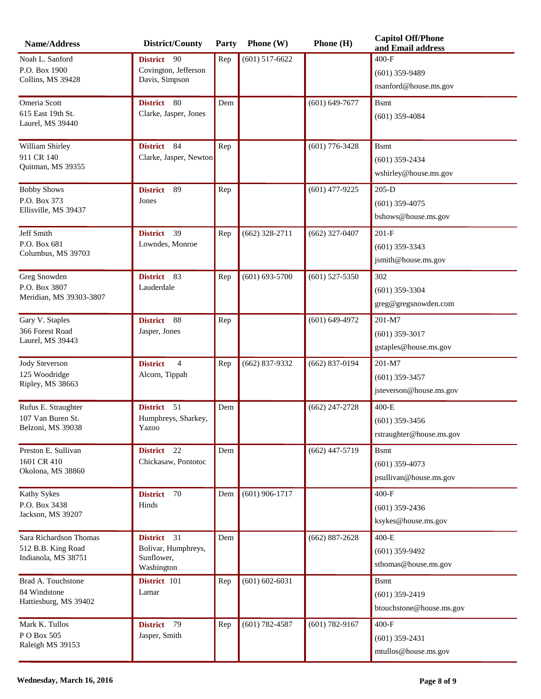| Name/Address                              | District/County                   | Party | Phone $(W)$        | Phone (H)          | <b>Capitol Off/Phone</b><br>and Email address |
|-------------------------------------------|-----------------------------------|-------|--------------------|--------------------|-----------------------------------------------|
| Noah L. Sanford                           | District 90                       | Rep   | $(601)$ 517-6622   |                    | $400-F$                                       |
| P.O. Box 1900                             | Covington, Jefferson              |       |                    |                    | $(601)$ 359-9489                              |
| Collins, MS 39428                         | Davis, Simpson                    |       |                    |                    | nsanford@house.ms.gov                         |
| Omeria Scott                              | <b>District</b><br>80             | Dem   |                    | $(601) 649 - 7677$ | <b>B</b> smt                                  |
| 615 East 19th St.                         | Clarke, Jasper, Jones             |       |                    |                    | $(601)$ 359-4084                              |
| Laurel, MS 39440                          |                                   |       |                    |                    |                                               |
| William Shirley                           | 84<br><b>District</b>             | Rep   |                    | $(601)$ 776-3428   | <b>B</b> smt                                  |
| 911 CR 140<br>Quitman, MS 39355           | Clarke, Jasper, Newton            |       |                    |                    | $(601)$ 359-2434                              |
|                                           |                                   |       |                    |                    | wshirley@house.ms.gov                         |
| <b>Bobby Shows</b>                        | 89<br><b>District</b>             | Rep   |                    | $(601)$ 477-9225   | $205-D$                                       |
| P.O. Box 373<br>Ellisville, MS 39437      | Jones                             |       |                    |                    | $(601)$ 359-4075                              |
|                                           |                                   |       |                    |                    | bshows@house.ms.gov                           |
| Jeff Smith                                | District 39                       | Rep   | $(662)$ 328-2711   | $(662)$ 327-0407   | $201-F$                                       |
| P.O. Box 681<br>Columbus, MS 39703        | Lowndes, Monroe                   |       |                    |                    | $(601)$ 359-3343                              |
|                                           |                                   |       |                    |                    | jsmith@house.ms.gov                           |
| Greg Snowden                              | District 83                       | Rep   | $(601) 693 - 5700$ | $(601)$ 527-5350   | 302                                           |
| P.O. Box 3807<br>Meridian, MS 39303-3807  | Lauderdale                        |       |                    |                    | $(601)$ 359-3304                              |
|                                           |                                   |       |                    |                    | greg@gregsnowden.com                          |
| Gary V. Staples                           | <b>District</b><br>88             | Rep   |                    | $(601) 649 - 4972$ | 201-M7                                        |
| 366 Forest Road<br>Laurel, MS 39443       | Jasper, Jones                     |       |                    |                    | $(601)$ 359-3017                              |
|                                           |                                   |       |                    |                    | gstaples@house.ms.gov                         |
| <b>Jody Steverson</b>                     | $\overline{4}$<br><b>District</b> | Rep   | $(662)$ 837-9332   | $(662)$ 837-0194   | 201-M7                                        |
| 125 Woodridge<br>Ripley, MS 38663         | Alcorn, Tippah                    |       |                    |                    | $(601)$ 359-3457                              |
|                                           |                                   |       |                    |                    | jsteverson@house.ms.gov                       |
| Rufus E. Straughter                       | District 51                       | Dem   |                    | $(662)$ 247-2728   | $400-E$                                       |
| 107 Van Buren St.<br>Belzoni, MS 39038    | Humphreys, Sharkey,<br>Yazoo      |       |                    |                    | $(601)$ 359-3456                              |
|                                           |                                   |       |                    |                    | rstraughter@house.ms.gov                      |
| Preston E. Sullivan                       | District 22                       | Dem   |                    | $(662)$ 447-5719   | <b>Bsmt</b>                                   |
| 1601 CR 410<br>Okolona, MS 38860          | Chickasaw, Pontotoc               |       |                    |                    | $(601)$ 359-4073                              |
|                                           |                                   |       |                    |                    | psullivan@house.ms.gov                        |
| Kathy Sykes                               | 70<br><b>District</b>             | Dem   | $(601)$ 906-1717   |                    | 400-F                                         |
| P.O. Box 3438<br>Jackson, MS 39207        | Hinds                             |       |                    |                    | $(601)$ 359-2436                              |
|                                           |                                   |       |                    |                    | ksykes@house.ms.gov                           |
| Sara Richardson Thomas                    | District 31                       | Dem   |                    | $(662) 887 - 2628$ | 400-E                                         |
| 512 B.B. King Road<br>Indianola, MS 38751 | Bolivar, Humphreys,<br>Sunflower, |       |                    |                    | $(601)$ 359-9492                              |
|                                           | Washington                        |       |                    |                    | sthomas@house.ms.gov                          |
| Brad A. Touchstone                        | District 101                      | Rep   | $(601) 602 - 6031$ |                    | <b>B</b> smt                                  |
| 84 Windstone<br>Hattiesburg, MS 39402     | Lamar                             |       |                    |                    | $(601)$ 359-2419                              |
|                                           |                                   |       |                    |                    | btouchstone@house.ms.gov                      |
| Mark K. Tullos                            | 79<br><b>District</b>             | Rep   | $(601) 782 - 4587$ | $(601) 782 - 9167$ | $400-F$                                       |
| P O Box 505<br>Raleigh MS 39153           | Jasper, Smith                     |       |                    |                    | $(601)$ 359-2431                              |
|                                           |                                   |       |                    |                    | mtullos@house.ms.gov                          |